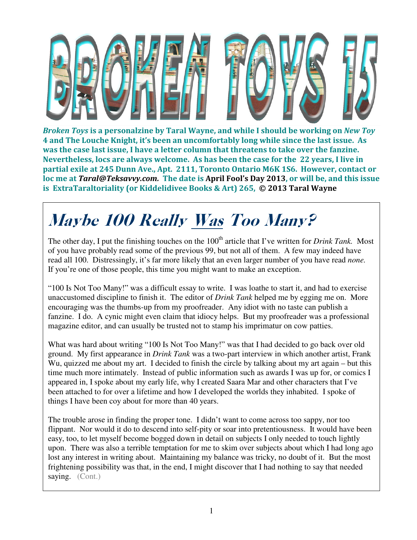

Broken Toys is a personalzine by Taral Wayne, and while I should be working on New Toy 4 and The Louche Knight, it's been an uncomfortably long while since the last issue. As was the case last issue, I have a letter column that threatens to take over the fanzine. Nevertheless, locs are always welcome. As has been the case for the 22 years, I live in partial exile at 245 Dunn Ave., Apt. 2111, Toronto Ontario M6K 1S6. However, contact or loc me at Taral@Teksavvy.com. The date is April Fool's Day 2013, or will be, and this issue is ExtraTaraltoriality (or Kiddelidivee Books & Art) 265, © 2013 Taral Wayne

## Maybe 100 Really Was Too Many?

The other day, I put the finishing touches on the 100<sup>th</sup> article that I've written for *Drink Tank*. Most of you have probably read some of the previous 99, but not all of them. A few may indeed have read all 100. Distressingly, it's far more likely that an even larger number of you have read *none.* If you're one of those people, this time you might want to make an exception.

"100 Is Not Too Many!" was a difficult essay to write. I was loathe to start it, and had to exercise unaccustomed discipline to finish it. The editor of *Drink Tank* helped me by egging me on. More encouraging was the thumbs-up from my proofreader. Any idiot with no taste can publish a fanzine. I do. A cynic might even claim that idiocy helps. But my proofreader was a professional magazine editor, and can usually be trusted not to stamp his imprimatur on cow patties.

What was hard about writing "100 Is Not Too Many!" was that I had decided to go back over old ground. My first appearance in *Drink Tank* was a two-part interview in which another artist, Frank Wu, quizzed me about my art. I decided to finish the circle by talking about my art again – but this time much more intimately. Instead of public information such as awards I was up for, or comics I appeared in, I spoke about my early life, why I created Saara Mar and other characters that I've been attached to for over a lifetime and how I developed the worlds they inhabited. I spoke of things I have been coy about for more than 40 years.

The trouble arose in finding the proper tone. I didn't want to come across too sappy, nor too flippant. Nor would it do to descend into self-pity or soar into pretentiousness. It would have been easy, too, to let myself become bogged down in detail on subjects I only needed to touch lightly upon. There was also a terrible temptation for me to skim over subjects about which I had long ago lost any interest in writing about. Maintaining my balance was tricky, no doubt of it. But the most frightening possibility was that, in the end, I might discover that I had nothing to say that needed saying. (Cont.)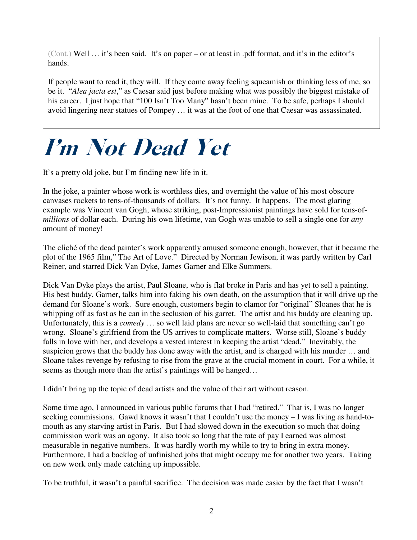(Cont.) Well … it's been said. It's on paper – or at least in .pdf format, and it's in the editor's hands.

If people want to read it, they will. If they come away feeling squeamish or thinking less of me, so be it. "*Alea jacta est*," as Caesar said just before making what was possibly the biggest mistake of his career. I just hope that "100 Isn't Too Many" hasn't been mine. To be safe, perhaps I should avoid lingering near statues of Pompey … it was at the foot of one that Caesar was assassinated.

## I'm Not Dead Yet

It's a pretty old joke, but I'm finding new life in it.

In the joke, a painter whose work is worthless dies, and overnight the value of his most obscure canvases rockets to tens-of-thousands of dollars. It's not funny. It happens. The most glaring example was Vincent van Gogh, whose striking, post-Impressionist paintings have sold for tens-of*millions* of dollar each. During his own lifetime, van Gogh was unable to sell a single one for *any* amount of money!

The cliché of the dead painter's work apparently amused someone enough, however, that it became the plot of the 1965 film," The Art of Love." Directed by Norman Jewison, it was partly written by Carl Reiner, and starred Dick Van Dyke, James Garner and Elke Summers.

Dick Van Dyke plays the artist, Paul Sloane, who is flat broke in Paris and has yet to sell a painting. His best buddy, Garner, talks him into faking his own death, on the assumption that it will drive up the demand for Sloane's work. Sure enough, customers begin to clamor for "original" Sloanes that he is whipping off as fast as he can in the seclusion of his garret. The artist and his buddy are cleaning up. Unfortunately, this is a *comedy* … so well laid plans are never so well-laid that something can't go wrong. Sloane's girlfriend from the US arrives to complicate matters. Worse still, Sloane's buddy falls in love with her, and develops a vested interest in keeping the artist "dead." Inevitably, the suspicion grows that the buddy has done away with the artist, and is charged with his murder … and Sloane takes revenge by refusing to rise from the grave at the crucial moment in court. For a while, it seems as though more than the artist's paintings will be hanged…

I didn't bring up the topic of dead artists and the value of their art without reason.

Some time ago, I announced in various public forums that I had "retired." That is, I was no longer seeking commissions. Gawd knows it wasn't that I couldn't use the money – I was living as hand-tomouth as any starving artist in Paris. But I had slowed down in the execution so much that doing commission work was an agony. It also took so long that the rate of pay I earned was almost measurable in negative numbers. It was hardly worth my while to try to bring in extra money. Furthermore, I had a backlog of unfinished jobs that might occupy me for another two years. Taking on new work only made catching up impossible.

To be truthful, it wasn't a painful sacrifice. The decision was made easier by the fact that I wasn't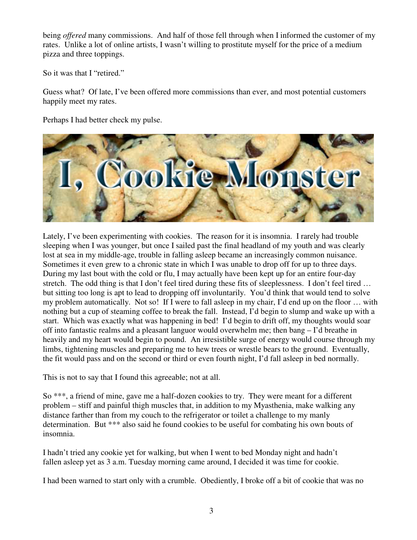being *offered* many commissions. And half of those fell through when I informed the customer of my rates. Unlike a lot of online artists, I wasn't willing to prostitute myself for the price of a medium pizza and three toppings.

So it was that I "retired."

Guess what? Of late, I've been offered more commissions than ever, and most potential customers happily meet my rates.

Perhaps I had better check my pulse.



Lately, I've been experimenting with cookies. The reason for it is insomnia. I rarely had trouble sleeping when I was younger, but once I sailed past the final headland of my youth and was clearly lost at sea in my middle-age, trouble in falling asleep became an increasingly common nuisance. Sometimes it even grew to a chronic state in which I was unable to drop off for up to three days. During my last bout with the cold or flu, I may actually have been kept up for an entire four-day stretch. The odd thing is that I don't feel tired during these fits of sleeplessness. I don't feel tired … but sitting too long is apt to lead to dropping off involuntarily. You'd think that would tend to solve my problem automatically. Not so! If I were to fall asleep in my chair, I'd end up on the floor … with nothing but a cup of steaming coffee to break the fall. Instead, I'd begin to slump and wake up with a start. Which was exactly what was happening in bed! I'd begin to drift off, my thoughts would soar off into fantastic realms and a pleasant languor would overwhelm me; then bang – I'd breathe in heavily and my heart would begin to pound. An irresistible surge of energy would course through my limbs, tightening muscles and preparing me to hew trees or wrestle bears to the ground. Eventually, the fit would pass and on the second or third or even fourth night, I'd fall asleep in bed normally.

This is not to say that I found this agreeable; not at all.

So \*\*\*, a friend of mine, gave me a half-dozen cookies to try. They were meant for a different problem – stiff and painful thigh muscles that, in addition to my Myasthenia, make walking any distance farther than from my couch to the refrigerator or toilet a challenge to my manly determination. But \*\*\* also said he found cookies to be useful for combating his own bouts of insomnia.

I hadn't tried any cookie yet for walking, but when I went to bed Monday night and hadn't fallen asleep yet as 3 a.m. Tuesday morning came around, I decided it was time for cookie.

I had been warned to start only with a crumble. Obediently, I broke off a bit of cookie that was no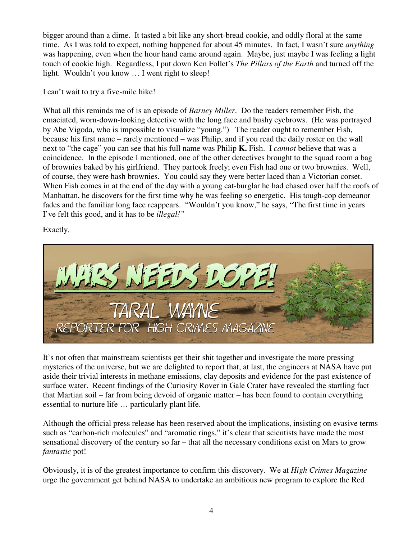bigger around than a dime. It tasted a bit like any short-bread cookie, and oddly floral at the same time. As I was told to expect, nothing happened for about 45 minutes. In fact, I wasn't sure *anything* was happening, even when the hour hand came around again. Maybe, just maybe I was feeling a light touch of cookie high. Regardless, I put down Ken Follet's *The Pillars of the Earth* and turned off the light. Wouldn't you know ... I went right to sleep!

I can't wait to try a five-mile hike!

What all this reminds me of is an episode of *Barney Miller*. Do the readers remember Fish, the emaciated, worn-down-looking detective with the long face and bushy eyebrows. (He was portrayed by Abe Vigoda, who is impossible to visualize "young.") The reader ought to remember Fish, because his first name – rarely mentioned – was Philip, and if you read the daily roster on the wall next to "the cage" you can see that his full name was Philip **K.** Fish. I *cannot* believe that was a coincidence. In the episode I mentioned, one of the other detectives brought to the squad room a bag of brownies baked by his girlfriend. They partook freely; even Fish had one or two brownies. Well, of course, they were hash brownies. You could say they were better laced than a Victorian corset. When Fish comes in at the end of the day with a young cat-burglar he had chased over half the roofs of Manhattan, he discovers for the first time why he was feeling so energetic. His tough-cop demeanor fades and the familiar long face reappears. "Wouldn't you know," he says, "The first time in years I've felt this good, and it has to be *illegal!"*

Exactly.



It's not often that mainstream scientists get their shit together and investigate the more pressing mysteries of the universe, but we are delighted to report that, at last, the engineers at NASA have put aside their trivial interests in methane emissions, clay deposits and evidence for the past existence of surface water. Recent findings of the Curiosity Rover in Gale Crater have revealed the startling fact that Martian soil – far from being devoid of organic matter – has been found to contain everything essential to nurture life … particularly plant life.

Although the official press release has been reserved about the implications, insisting on evasive terms such as "carbon-rich molecules" and "aromatic rings," it's clear that scientists have made the most sensational discovery of the century so far – that all the necessary conditions exist on Mars to grow *fantastic* pot!

Obviously, it is of the greatest importance to confirm this discovery. We at *High Crimes Magazine* urge the government get behind NASA to undertake an ambitious new program to explore the Red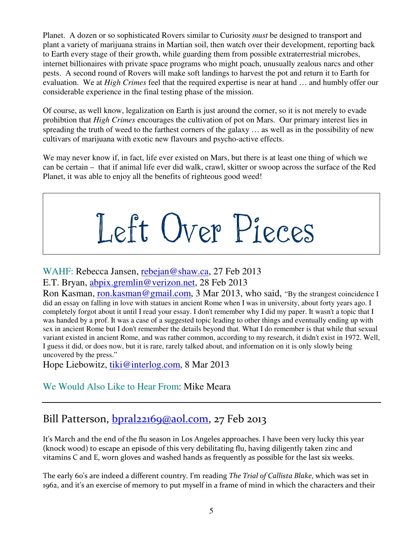Planet. A dozen or so sophisticated Rovers similar to Curiosity *must* be designed to transport and plant a variety of marijuana strains in Martian soil, then watch over their development, reporting back to Earth every stage of their growth, while guarding them from possible extraterrestrial microbes, internet billionaires with private space programs who might poach, unusually zealous narcs and other pests. A second round of Rovers will make soft landings to harvest the pot and return it to Earth for evaluation. We at *High Crimes* feel that the required expertise is near at hand … and humbly offer our considerable experience in the final testing phase of the mission.

Of course, as well know, legalization on Earth is just around the corner, so it is not merely to evade prohibtion that *High Crimes* encourages the cultivation of pot on Mars. Our primary interest lies in spreading the truth of weed to the farthest corners of the galaxy … as well as in the possibility of new cultivars of marijuana with exotic new flavours and psycho-active effects.

We may never know if, in fact, life ever existed on Mars, but there is at least one thing of which we can be certain – that if animal life ever did walk, crawl, skitter or swoop across the surface of the Red Planet, it was able to enjoy all the benefits of righteous good weed!

Left Over Pieces

WAHF: Rebecca Jansen, rebejan@shaw.ca, 27 Feb 2013

E.T. Bryan, abpix.gremlin@verizon.net, 28 Feb 2013

Ron Kasman, ron.kasman@gmail.com, 3 Mar 2013, who said, "By the strangest coincidence I did an essay on falling in love with statues in ancient Rome when I was in university, about forty years ago. I completely forgot about it until I read your essay. I don't remember why I did my paper. It wasn't a topic that I was handed by a prof. It was a case of a suggested topic leading to other things and eventually ending up with sex in ancient Rome but I don't remember the details beyond that. What I do remember is that while that sexual variant existed in ancient Rome, and was rather common, according to my research, it didn't exist in 1972. Well, I guess it did, or does now, but it is rare, rarely talked about, and information on it is only slowly being uncovered by the press."

Hope Liebowitz, tiki@interlog.com, 8 Mar 2013

We Would Also Like to Hear From: Mike Meara

## Bill Patterson,  $bpralz2169@aol.com$ , 27 Feb 2013

It's March and the end of the flu season in Los Angeles approaches. I have been very lucky this year (knock wood) to escape an episode of this very debilitating flu, having diligently taken zinc and vitamins C and E, worn gloves and washed hands as frequently as possible for the last six weeks.

The early 60's are indeed a different country. I'm reading The Trial of Callista Blake, which was set in 1962, and it's an exercise of memory to put myself in a frame of mind in which the characters and their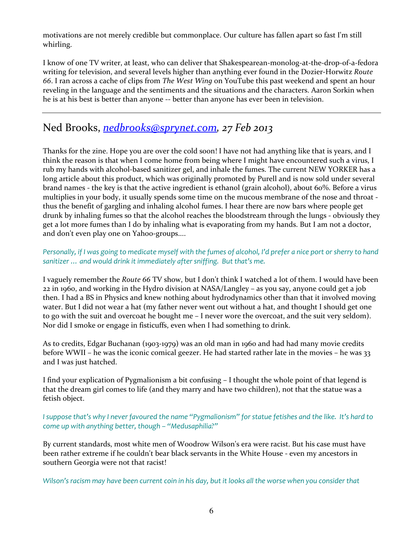motivations are not merely credible but commonplace. Our culture has fallen apart so fast I'm still whirling.

I know of one TV writer, at least, who can deliver that Shakespearean-monolog-at-the-drop-of-a-fedora writing for television, and several levels higher than anything ever found in the Dozier-Horwitz Route 66. I ran across a cache of clips from The West Wing on YouTube this past weekend and spent an hour reveling in the language and the sentiments and the situations and the characters. Aaron Sorkin when he is at his best is better than anyone -- better than anyone has ever been in television.

### Ned Brooks, nedbrooks@sprynet.com, 27 Feb 2013

Thanks for the zine. Hope you are over the cold soon! I have not had anything like that is years, and I think the reason is that when I come home from being where I might have encountered such a virus, I rub my hands with alcohol-based sanitizer gel, and inhale the fumes. The current NEW YORKER has a long article about this product, which was originally promoted by Purell and is now sold under several brand names - the key is that the active ingredient is ethanol (grain alcohol), about 60%. Before a virus multiplies in your body, it usually spends some time on the mucous membrane of the nose and throat thus the benefit of gargling and inhaling alcohol fumes. I hear there are now bars where people get drunk by inhaling fumes so that the alcohol reaches the bloodstream through the lungs - obviously they get a lot more fumes than I do by inhaling what is evaporating from my hands. But I am not a doctor, and don't even play one on Yahoo-groups....

#### Personally, if I was going to medicate myself with the fumes of alcohol, I'd prefer a nice port or sherry to hand sanitizer … and would drink it immediately after sniffing. But that's me.

I vaguely remember the Route 66 TV show, but I don't think I watched a lot of them. I would have been 22 in 1960, and working in the Hydro division at NASA/Langley – as you say, anyone could get a job then. I had a BS in Physics and knew nothing about hydrodynamics other than that it involved moving water. But I did not wear a hat (my father never went out without a hat, and thought I should get one to go with the suit and overcoat he bought me – I never wore the overcoat, and the suit very seldom). Nor did I smoke or engage in fisticuffs, even when I had something to drink.

As to credits, Edgar Buchanan (1903-1979) was an old man in 1960 and had had many movie credits before WWII – he was the iconic comical geezer. He had started rather late in the movies – he was 33 and I was just hatched.

I find your explication of Pygmalionism a bit confusing – I thought the whole point of that legend is that the dream girl comes to life (and they marry and have two children), not that the statue was a fetish object.

I suppose that's why I never favoured the name "Pygmalionism" for statue fetishes and the like. It's hard to come up with anything better, though – "Medusaphilia?"

By current standards, most white men of Woodrow Wilson's era were racist. But his case must have been rather extreme if he couldn't bear black servants in the White House - even my ancestors in southern Georgia were not that racist!

Wilson's racism may have been current coin in his day, but it looks all the worse when you consider that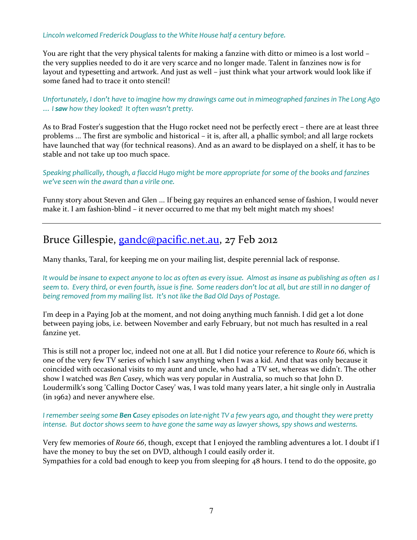#### Lincoln welcomed Frederick Douglass to the White House half a century before.

You are right that the very physical talents for making a fanzine with ditto or mimeo is a lost world – the very supplies needed to do it are very scarce and no longer made. Talent in fanzines now is for layout and typesetting and artwork. And just as well – just think what your artwork would look like if some faned had to trace it onto stencil!

Unfortunately, I don't have to imagine how my drawings came out in mimeographed fanzines in The Long Ago ... I saw how they looked! It often wasn't pretty.

As to Brad Foster's suggestion that the Hugo rocket need not be perfectly erect – there are at least three problems ... The first are symbolic and historical – it is, after all, a phallic symbol; and all large rockets have launched that way (for technical reasons). And as an award to be displayed on a shelf, it has to be stable and not take up too much space.

Speaking phallically, though, a flaccid Hugo might be more appropriate for some of the books and fanzines we've seen win the award than a virile one.

Funny story about Steven and Glen ... If being gay requires an enhanced sense of fashion, I would never make it. I am fashion-blind – it never occurred to me that my belt might match my shoes!

### Bruce Gillespie, gandc@pacific.net.au, 27 Feb 2012

Many thanks, Taral, for keeping me on your mailing list, despite perennial lack of response.

It would be insane to expect anyone to loc as often as every issue. Almost as insane as publishing as often as I seem to. Every third, or even fourth, issue is fine. Some readers don't loc at all, but are still in no danger of being removed from my mailing list. It's not like the Bad Old Days of Postage.

I'm deep in a Paying Job at the moment, and not doing anything much fannish. I did get a lot done between paying jobs, i.e. between November and early February, but not much has resulted in a real fanzine yet.

This is still not a proper loc, indeed not one at all. But I did notice your reference to Route 66, which is one of the very few TV series of which I saw anything when I was a kid. And that was only because it coincided with occasional visits to my aunt and uncle, who had a TV set, whereas we didn't. The other show I watched was Ben Casey, which was very popular in Australia, so much so that John D. Loudermilk's song 'Calling Doctor Casey' was, I was told many years later, a hit single only in Australia (in 1962) and never anywhere else.

I remember seeing some Ben Casey episodes on late-night TV a few years ago, and thought they were pretty intense. But doctor shows seem to have gone the same way as lawyer shows, spy shows and westerns.

Very few memories of Route 66, though, except that I enjoyed the rambling adventures a lot. I doubt if I have the money to buy the set on DVD, although I could easily order it. Sympathies for a cold bad enough to keep you from sleeping for 48 hours. I tend to do the opposite, go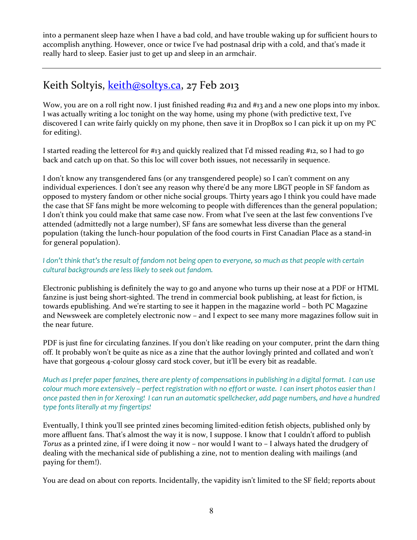into a permanent sleep haze when I have a bad cold, and have trouble waking up for sufficient hours to accomplish anything. However, once or twice I've had postnasal drip with a cold, and that's made it really hard to sleep. Easier just to get up and sleep in an armchair.

## Keith Soltyis, keith@soltys.ca, 27 Feb 2013

Wow, you are on a roll right now. I just finished reading #12 and #13 and a new one plops into my inbox. I was actually writing a loc tonight on the way home, using my phone (with predictive text, I've discovered I can write fairly quickly on my phone, then save it in DropBox so I can pick it up on my PC for editing).

I started reading the lettercol for #13 and quickly realized that I'd missed reading #12, so I had to go back and catch up on that. So this loc will cover both issues, not necessarily in sequence.

I don't know any transgendered fans (or any transgendered people) so I can't comment on any individual experiences. I don't see any reason why there'd be any more LBGT people in SF fandom as opposed to mystery fandom or other niche social groups. Thirty years ago I think you could have made the case that SF fans might be more welcoming to people with differences than the general population; I don't think you could make that same case now. From what I've seen at the last few conventions I've attended (admittedly not a large number), SF fans are somewhat less diverse than the general population (taking the lunch-hour population of the food courts in First Canadian Place as a stand-in for general population).

I don't think that's the result of fandom not being open to everyone, so much as that people with certain cultural backgrounds are less likely to seek out fandom.

Electronic publishing is definitely the way to go and anyone who turns up their nose at a PDF or HTML fanzine is just being short-sighted. The trend in commercial book publishing, at least for fiction, is towards epublishing. And we're starting to see it happen in the magazine world – both PC Magazine and Newsweek are completely electronic now – and I expect to see many more magazines follow suit in the near future.

PDF is just fine for circulating fanzines. If you don't like reading on your computer, print the darn thing off. It probably won't be quite as nice as a zine that the author lovingly printed and collated and won't have that gorgeous 4-colour glossy card stock cover, but it'll be every bit as readable.

Much as I prefer paper fanzines, there are plenty of compensations in publishing in a digital format. I can use colour much more extensively – perfect registration with no effort or waste. I can insert photos easier than I once pasted then in for Xeroxing! I can run an automatic spellchecker, add page numbers, and have a hundred type fonts literally at my fingertips!

Eventually, I think you'll see printed zines becoming limited-edition fetish objects, published only by more affluent fans. That's almost the way it is now, I suppose. I know that I couldn't afford to publish Torus as a printed zine, if I were doing it now – nor would I want to – I always hated the drudgery of dealing with the mechanical side of publishing a zine, not to mention dealing with mailings (and paying for them!).

You are dead on about con reports. Incidentally, the vapidity isn't limited to the SF field; reports about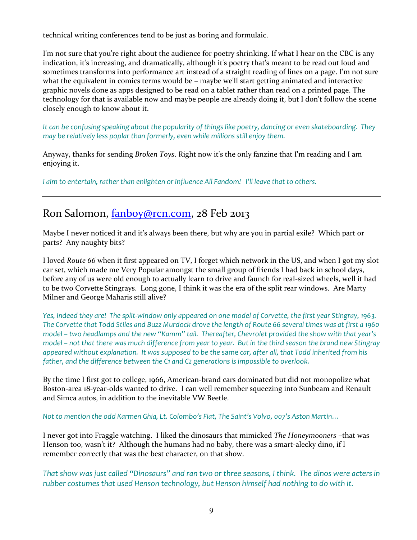technical writing conferences tend to be just as boring and formulaic.

I'm not sure that you're right about the audience for poetry shrinking. If what I hear on the CBC is any indication, it's increasing, and dramatically, although it's poetry that's meant to be read out loud and sometimes transforms into performance art instead of a straight reading of lines on a page. I'm not sure what the equivalent in comics terms would be – maybe we'll start getting animated and interactive graphic novels done as apps designed to be read on a tablet rather than read on a printed page. The technology for that is available now and maybe people are already doing it, but I don't follow the scene closely enough to know about it.

It can be confusing speaking about the popularity of things like poetry, dancing or even skateboarding. They may be relatively less poplar than formerly, even while millions still enjoy them.

Anyway, thanks for sending Broken Toys. Right now it's the only fanzine that I'm reading and I am enjoying it.

I aim to entertain, rather than enlighten or influence All Fandom! I'll leave that to others.

## Ron Salomon, fanboy@rcn.com, 28 Feb 2013

Maybe I never noticed it and it's always been there, but why are you in partial exile? Which part or parts? Any naughty bits?

I loved Route 66 when it first appeared on TV, I forget which network in the US, and when I got my slot car set, which made me Very Popular amongst the small group of friends I had back in school days, before any of us were old enough to actually learn to drive and faunch for real-sized wheels, well it had to be two Corvette Stingrays. Long gone, I think it was the era of the split rear windows. Are Marty Milner and George Maharis still alive?

Yes, indeed they are! The split-window only appeared on one model of Corvette, the first year Stingray, 1963. The Corvette that Todd Stiles and Buzz Murdock drove the length of Route 66 several times was at first a 1960 model – two headlamps and the new "Kamm" tail. Thereafter, Chevrolet provided the show with that year's model – not that there was much difference from year to year. But in the third season the brand new Stingray appeared without explanation. It was supposed to be the same car, after all, that Todd inherited from his father, and the difference between the C1 and C2 generations is impossible to overlook.

By the time I first got to college, 1966, American-brand cars dominated but did not monopolize what Boston-area 18-year-olds wanted to drive. I can well remember squeezing into Sunbeam and Renault and Simca autos, in addition to the inevitable VW Beetle.

Not to mention the odd Karmen Ghia, Lt. Colombo's Fiat, The Saint's Volvo, 007's Aston Martin…

I never got into Fraggle watching. I liked the dinosaurs that mimicked The Honeymooners –that was Henson too, wasn't it? Although the humans had no baby, there was a smart-alecky dino, if I remember correctly that was the best character, on that show.

That show was just called "Dinosaurs" and ran two or three seasons, I think. The dinos were acters in rubber costumes that used Henson technology, but Henson himself had nothing to do with it.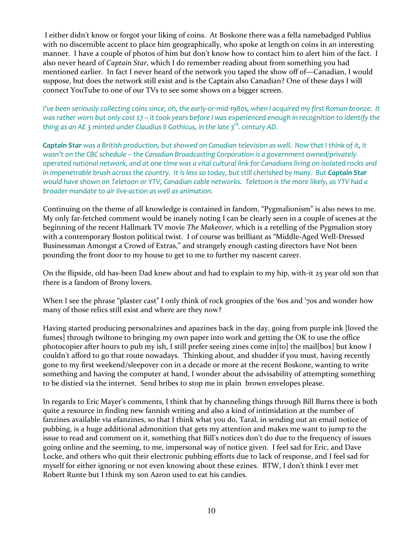I either didn't know or forgot your liking of coins. At Boskone there was a fella namebadged Publius with no discernible accent to place him geographically, who spoke at length on coins in an interesting manner. I have a couple of photos of him but don't know how to contact him to alert him of the fact. I also never heard of Captain Star, which I do remember reading about from something you had mentioned earlier. In fact I never heard of the network you taped the show off of—Canadian, I would suppose, but does the network still exist and is the Captain also Canadian? One of these days I will connect YouTube to one of our TVs to see some shows on a bigger screen.

I've been seriously collecting coins since, oh, the early-or-mid-1980s, when I acquired my first Roman bronze. It was rather worn but only cost \$7 – it took years before I was experienced enough in recognition to identify the thing as an AE 3 minted under Claudius II Gothicus, in the late  $3^{rd}$ . century AD.

Captain Star was a British production, but showed on Canadian television as well. Now that I think of it, it wasn't on the CBC schedule – the Canadian Broadcasting Corporation is a government owned/privately operated national network, and at one time was a vital cultural link for Canadians living on isolated rocks and in impenetrable brush across the country. It is less so today, but still cherished by many. But Captain Star would have shown on Teletoon or YTV, Canadian cable networks. Teletoon is the more likely, as YTV had a broader mandate to air live-action as well as animation.

Continuing on the theme of all knowledge is contained in fandom, "Pygmalionism" is also news to me. My only far-fetched comment would be inanely noting I can be clearly seen in a couple of scenes at the beginning of the recent Hallmark TV movie The Makeover, which is a retelling of the Pygmalion story with a contemporary Boston political twist. I of course was brilliant as "Middle-Aged Well-Dressed Businessman Amongst a Crowd of Extras," and strangely enough casting directors have Not been pounding the front door to my house to get to me to further my nascent career.

On the flipside, old has-been Dad knew about and had to explain to my hip, with-it 25 year old son that there is a fandom of Brony lovers.

When I see the phrase "plaster cast" I only think of rock groupies of the '60s and '70s and wonder how many of those relics still exist and where are they now?

Having started producing personalzines and apazines back in the day, going from purple ink [loved the fumes] through twiltone to bringing my own paper into work and getting the OK to use the office photocopier after hours to pub my ish, I still prefer seeing zines come in[to] the mail[box] but know I couldn't afford to go that route nowadays. Thinking about, and shudder if you must, having recently gone to my first weekend/sleepover con in a decade or more at the recent Boskone, wanting to write something and having the computer at hand, I wonder about the advisability of attempting something to be distied via the internet. Send bribes to stop me in plain brown envelopes please.

In regards to Eric Mayer's comments, I think that by channeling things through Bill Burns there is both quite a resource in finding new fannish writing and also a kind of intimidation at the number of fanzines available via efanzines, so that I think what you do, Taral, in sending out an email notice of pubbing, is a huge additional admonition that gets my attention and makes me want to jump to the issue to read and comment on it, something that Bill's notices don't do due to the frequency of issues going online and the seeming, to me, impersonal way of notice given. I feel sad for Eric, and Dave Locke, and others who quit their electronic pubbing efforts due to lack of response, and I feel sad for myself for either ignoring or not even knowing about these ezines. BTW, I don't think I ever met Robert Runte but I think my son Aaron used to eat his candies.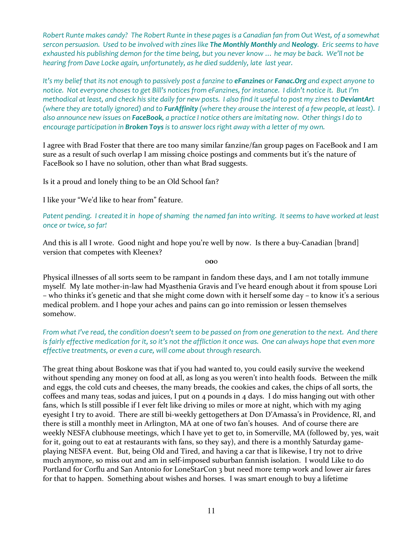Robert Runte makes candy? The Robert Runte in these pages is a Canadian fan from Out West, of a somewhat sercon persuasion. Used to be involved with zines like The Monthly Monthly and Neology. Eric seems to have exhausted his publishing demon for the time being, but you never know … he may be back. We'll not be hearing from Dave Locke again, unfortunately, as he died suddenly, late last year.

It's my belief that its not enough to passively post a fanzine to **eFanzines** or **Fanac.Org** and expect anyone to notice. Not everyone choses to get Bill's notices from eFanzines, for instance. I didn't notice it. But I'm methodical at least, and check his site daily for new posts. I also find it useful to post my zines to DeviantArt (where they are totally ignored) and to FurAffinity (where they arouse the interest of a few people, at least). I also announce new issues on FaceBook, a practice I notice others are imitating now. Other things I do to encourage participation in Broken Toys is to answer locs right away with a letter of my own.

I agree with Brad Foster that there are too many similar fanzine/fan group pages on FaceBook and I am sure as a result of such overlap I am missing choice postings and comments but it's the nature of FaceBook so I have no solution, other than what Brad suggests.

Is it a proud and lonely thing to be an Old School fan?

I like your "We'd like to hear from" feature.

Patent pending. I created it in hope of shaming the named fan into writing. It seems to have worked at least once or twice, so far!

And this is all I wrote. Good night and hope you're well by now. Is there a buy-Canadian [brand] version that competes with Kleenex?

ooo

Physical illnesses of all sorts seem to be rampant in fandom these days, and I am not totally immune myself. My late mother-in-law had Myasthenia Gravis and I've heard enough about it from spouse Lori – who thinks it's genetic and that she might come down with it herself some day – to know it's a serious medical problem. and I hope your aches and pains can go into remission or lessen themselves somehow.

#### From what I've read, the condition doesn't seem to be passed on from one generation to the next. And there is fairly effective medication for it, so it's not the affliction it once was. One can always hope that even more effective treatments, or even a cure, will come about through research.

The great thing about Boskone was that if you had wanted to, you could easily survive the weekend without spending any money on food at all, as long as you weren't into health foods. Between the milk and eggs, the cold cuts and cheeses, the many breads, the cookies and cakes, the chips of all sorts, the coffees and many teas, sodas and juices, I put on 4 pounds in 4 days. I do miss hanging out with other fans, which Is still possible if I ever felt like driving 10 miles or more at night, which with my aging eyesight I try to avoid. There are still bi-weekly gettogethers at Don D'Amassa's in Providence, RI, and there is still a monthly meet in Arlington, MA at one of two fan's houses. And of course there are weekly NESFA clubhouse meetings, which I have yet to get to, in Somerville, MA (followed by, yes, wait for it, going out to eat at restaurants with fans, so they say), and there is a monthly Saturday gameplaying NESFA event. But, being Old and Tired, and having a car that is likewise, I try not to drive much anymore, so miss out and am in self-imposed suburban fannish isolation. I would Like to do Portland for Corflu and San Antonio for LoneStarCon 3 but need more temp work and lower air fares for that to happen. Something about wishes and horses. I was smart enough to buy a lifetime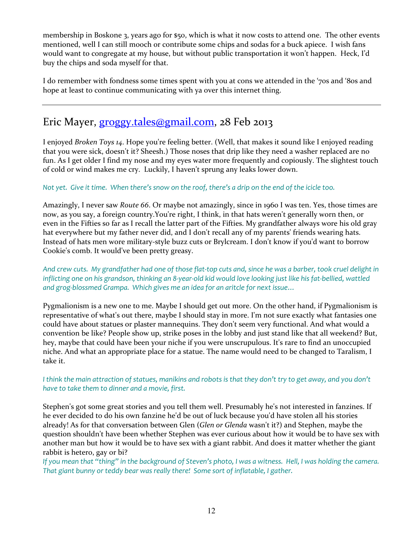membership in Boskone 3, years ago for \$50, which is what it now costs to attend one. The other events mentioned, well I can still mooch or contribute some chips and sodas for a buck apiece. I wish fans would want to congregate at my house, but without public transportation it won't happen. Heck, I'd buy the chips and soda myself for that.

I do remember with fondness some times spent with you at cons we attended in the '70s and '80s and hope at least to continue communicating with ya over this internet thing.

## Eric Mayer, groggy.tales@gmail.com, 28 Feb 2013

I enjoyed Broken Toys 14. Hope you're feeling better. (Well, that makes it sound like I enjoyed reading that you were sick, doesn't it? Sheesh.) Those noses that drip like they need a washer replaced are no fun. As I get older I find my nose and my eyes water more frequently and copiously. The slightest touch of cold or wind makes me cry. Luckily, I haven't sprung any leaks lower down.

#### Not yet. Give it time. When there's snow on the roof, there's a drip on the end of the icicle too.

Amazingly, I never saw Route 66. Or maybe not amazingly, since in 1960 I was ten. Yes, those times are now, as you say, a foreign country.You're right, I think, in that hats weren't generally worn then, or even in the Fifties so far as I recall the latter part of the Fifties. My grandfather always wore his old gray hat everywhere but my father never did, and I don't recall any of my parents' friends wearing hats. Instead of hats men wore military-style buzz cuts or Brylcream. I don't know if you'd want to borrow Cookie's comb. It would've been pretty greasy.

And crew cuts. My grandfather had one of those flat-top cuts and, since he was a barber, took cruel delight in inflicting one on his grandson, thinking an 8-year-old kid would love looking just like his fat-bellied, wattled and grog-blossmed Grampa. Which gives me an idea for an aritcle for next issue…

Pygmalionism is a new one to me. Maybe I should get out more. On the other hand, if Pygmalionism is representative of what's out there, maybe I should stay in more. I'm not sure exactly what fantasies one could have about statues or plaster mannequins. They don't seem very functional. And what would a convention be like? People show up, strike poses in the lobby and just stand like that all weekend? But, hey, maybe that could have been your niche if you were unscrupulous. It's rare to find an unoccupied niche. And what an appropriate place for a statue. The name would need to be changed to Taralism, I take it.

I think the main attraction of statues, manikins and robots is that they don't try to get away, and you don't have to take them to dinner and a movie, first.

Stephen's got some great stories and you tell them well. Presumably he's not interested in fanzines. If he ever decided to do his own fanzine he'd be out of luck because you'd have stolen all his stories already! As for that conversation between Glen (Glen or Glenda wasn't it?) and Stephen, maybe the question shouldn't have been whether Stephen was ever curious about how it would be to have sex with another man but how it would be to have sex with a giant rabbit. And does it matter whether the giant rabbit is hetero, gay or bi?

If you mean that "thing" in the background of Steven's photo, I was a witness. Hell, I was holding the camera. That giant bunny or teddy bear was really there! Some sort of inflatable, I gather.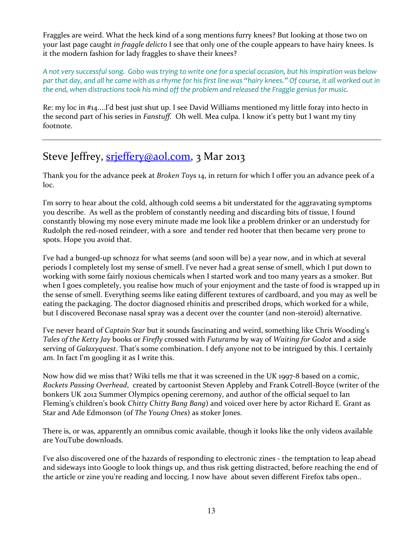Fraggles are weird. What the heck kind of a song mentions furry knees? But looking at those two on your last page caught in fraggle delicto I see that only one of the couple appears to have hairy knees. Is it the modern fashion for lady fraggles to shave their knees?

A not very successful song. Gobo was trying to write one for a special occasion, but his inspiration was below par that day, and all he came with as a rhyme for his first line was "hairy knees." Of course, it all worked out in the end, when distractions took his mind off the problem and released the Fraggle genius for music.

Re: my loc in #14....I'd best just shut up. I see David Williams mentioned my little foray into hecto in the second part of his series in *Fanstuff*. Oh well. Mea culpa. I know it's petty but I want my tiny footnote.

## Steve Jeffrey, *srjeffery@aol.com*, 3 Mar 2013

Thank you for the advance peek at Broken Toys 14, in return for which I offer you an advance peek of a loc.

I'm sorry to hear about the cold, although cold seems a bit understated for the aggravating symptoms you describe. As well as the problem of constantly needing and discarding bits of tissue, I found constantly blowing my nose every minute made me look like a problem drinker or an understudy for Rudolph the red-nosed reindeer, with a sore and tender red hooter that then became very prone to spots. Hope you avoid that.

I've had a bunged-up schnozz for what seems (and soon will be) a year now, and in which at several periods I completely lost my sense of smell. I've never had a great sense of smell, which I put down to working with some fairly noxious chemicals when I started work and too many years as a smoker. But when I goes completely, you realise how much of your enjoyment and the taste of food is wrapped up in the sense of smell. Everything seems like eating different textures of cardboard, and you may as well be eating the packaging. The doctor diagnosed rhinitis and prescribed drops, which worked for a while, but I discovered Beconase nasal spray was a decent over the counter (and non-steroid) alternative.

I've never heard of Captain Star but it sounds fascinating and weird, something like Chris Wooding's Tales of the Ketty Jay books or Firefly crossed with Futurama by way of Waiting for Godot and a side serving of Galaxyquest. That's some combination. I defy anyone not to be intrigued by this. I certainly am. In fact I'm googling it as I write this.

Now how did we miss that? Wiki tells me that it was screened in the UK 1997-8 based on a comic, Rockets Passing Overhead, created by cartoonist Steven Appleby and Frank Cotrell-Boyce (writer of the bonkers UK 2012 Summer Olympics opening ceremony, and author of the official sequel to Ian Fleming's children's book Chitty Chitty Bang Bang) and voiced over here by actor Richard E. Grant as Star and Ade Edmonson (of The Young Ones) as stoker Jones.

There is, or was, apparently an omnibus comic available, though it looks like the only videos available are YouTube downloads.

I've also discovered one of the hazards of responding to electronic zines - the temptation to leap ahead and sideways into Google to look things up, and thus risk getting distracted, before reaching the end of the article or zine you're reading and loccing. I now have about seven different Firefox tabs open..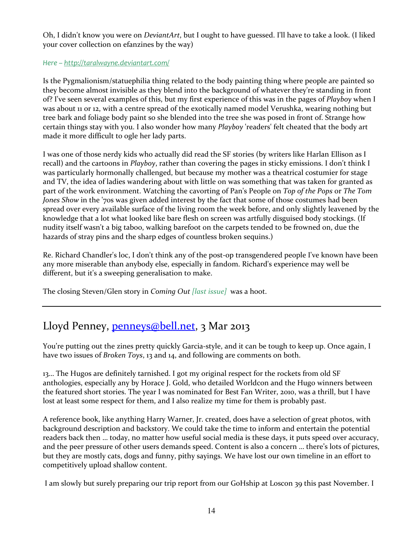Oh, I didn't know you were on DeviantArt, but I ought to have guessed. I'll have to take a look. (I liked your cover collection on efanzines by the way)

#### Here – http://taralwayne.deviantart.com/

Is the Pygmalionism/statuephilia thing related to the body painting thing where people are painted so they become almost invisible as they blend into the background of whatever they're standing in front of? I've seen several examples of this, but my first experience of this was in the pages of Playboy when I was about 11 or 12, with a centre spread of the exotically named model Verushka, wearing nothing but tree bark and foliage body paint so she blended into the tree she was posed in front of. Strange how certain things stay with you. I also wonder how many Playboy 'readers' felt cheated that the body art made it more difficult to ogle her lady parts.

I was one of those nerdy kids who actually did read the SF stories (by writers like Harlan Ellison as I recall) and the cartoons in Playboy, rather than covering the pages in sticky emissions. I don't think I was particularly hormonally challenged, but because my mother was a theatrical costumier for stage and TV, the idea of ladies wandering about with little on was something that was taken for granted as part of the work environment. Watching the cavorting of Pan's People on Top of the Pops or The Tom Jones Show in the '70s was given added interest by the fact that some of those costumes had been spread over every available surface of the living room the week before, and only slightly leavened by the knowledge that a lot what looked like bare flesh on screen was artfully disguised body stockings. (If nudity itself wasn't a big taboo, walking barefoot on the carpets tended to be frowned on, due the hazards of stray pins and the sharp edges of countless broken sequins.)

Re. Richard Chandler's loc, I don't think any of the post-op transgendered people I've known have been any more miserable than anybody else, especially in fandom. Richard's experience may well be different, but it's a sweeping generalisation to make.

The closing Steven/Glen story in Coming Out [last issue] was a hoot.

## Lloyd Penney, penneys@bell.net, 3 Mar 2013

You're putting out the zines pretty quickly Garcia-style, and it can be tough to keep up. Once again, I have two issues of Broken Toys, 13 and 14, and following are comments on both.

13… The Hugos are definitely tarnished. I got my original respect for the rockets from old SF anthologies, especially any by Horace J. Gold, who detailed Worldcon and the Hugo winners between the featured short stories. The year I was nominated for Best Fan Writer, 2010, was a thrill, but I have lost at least some respect for them, and I also realize my time for them is probably past.

A reference book, like anything Harry Warner, Jr. created, does have a selection of great photos, with background description and backstory. We could take the time to inform and entertain the potential readers back then … today, no matter how useful social media is these days, it puts speed over accuracy, and the peer pressure of other users demands speed. Content is also a concern … there's lots of pictures, but they are mostly cats, dogs and funny, pithy sayings. We have lost our own timeline in an effort to competitively upload shallow content.

I am slowly but surely preparing our trip report from our GoHship at Loscon 39 this past November. I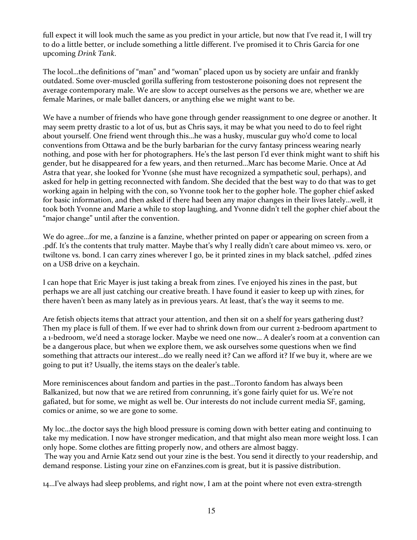full expect it will look much the same as you predict in your article, but now that I've read it, I will try to do a little better, or include something a little different. I've promised it to Chris Garcia for one upcoming Drink Tank.

The locol…the definitions of "man" and "woman" placed upon us by society are unfair and frankly outdated. Some over-muscled gorilla suffering from testosterone poisoning does not represent the average contemporary male. We are slow to accept ourselves as the persons we are, whether we are female Marines, or male ballet dancers, or anything else we might want to be.

We have a number of friends who have gone through gender reassignment to one degree or another. It may seem pretty drastic to a lot of us, but as Chris says, it may be what you need to do to feel right about yourself. One friend went through this…he was a husky, muscular guy who'd come to local conventions from Ottawa and be the burly barbarian for the curvy fantasy princess wearing nearly nothing, and pose with her for photographers. He's the last person I'd ever think might want to shift his gender, but he disappeared for a few years, and then returned…Marc has become Marie. Once at Ad Astra that year, she looked for Yvonne (she must have recognized a sympathetic soul, perhaps), and asked for help in getting reconnected with fandom. She decided that the best way to do that was to get working again in helping with the con, so Yvonne took her to the gopher hole. The gopher chief asked for basic information, and then asked if there had been any major changes in their lives lately…well, it took both Yvonne and Marie a while to stop laughing, and Yvonne didn't tell the gopher chief about the "major change" until after the convention.

We do agree…for me, a fanzine is a fanzine, whether printed on paper or appearing on screen from a .pdf. It's the contents that truly matter. Maybe that's why I really didn't care about mimeo vs. xero, or twiltone vs. bond. I can carry zines wherever I go, be it printed zines in my black satchel, .pdfed zines on a USB drive on a keychain.

I can hope that Eric Mayer is just taking a break from zines. I've enjoyed his zines in the past, but perhaps we are all just catching our creative breath. I have found it easier to keep up with zines, for there haven't been as many lately as in previous years. At least, that's the way it seems to me.

Are fetish objects items that attract your attention, and then sit on a shelf for years gathering dust? Then my place is full of them. If we ever had to shrink down from our current 2-bedroom apartment to a 1-bedroom, we'd need a storage locker. Maybe we need one now… A dealer's room at a convention can be a dangerous place, but when we explore them, we ask ourselves some questions when we find something that attracts our interest…do we really need it? Can we afford it? If we buy it, where are we going to put it? Usually, the items stays on the dealer's table.

More reminiscences about fandom and parties in the past…Toronto fandom has always been Balkanized, but now that we are retired from conrunning, it's gone fairly quiet for us. We're not gafiated, but for some, we might as well be. Our interests do not include current media SF, gaming, comics or anime, so we are gone to some.

My loc…the doctor says the high blood pressure is coming down with better eating and continuing to take my medication. I now have stronger medication, and that might also mean more weight loss. I can only hope. Some clothes are fitting properly now, and others are almost baggy.

 The way you and Arnie Katz send out your zine is the best. You send it directly to your readership, and demand response. Listing your zine on eFanzines.com is great, but it is passive distribution.

14…I've always had sleep problems, and right now, I am at the point where not even extra-strength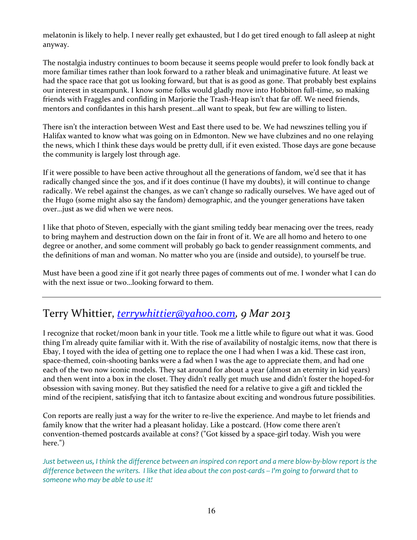melatonin is likely to help. I never really get exhausted, but I do get tired enough to fall asleep at night anyway.

The nostalgia industry continues to boom because it seems people would prefer to look fondly back at more familiar times rather than look forward to a rather bleak and unimaginative future. At least we had the space race that got us looking forward, but that is as good as gone. That probably best explains our interest in steampunk. I know some folks would gladly move into Hobbiton full-time, so making friends with Fraggles and confiding in Marjorie the Trash-Heap isn't that far off. We need friends, mentors and confidantes in this harsh present…all want to speak, but few are willing to listen.

There isn't the interaction between West and East there used to be. We had newszines telling you if Halifax wanted to know what was going on in Edmonton. New we have clubzines and no one relaying the news, which I think these days would be pretty dull, if it even existed. Those days are gone because the community is largely lost through age.

If it were possible to have been active throughout all the generations of fandom, we'd see that it has radically changed since the 30s, and if it does continue (I have my doubts), it will continue to change radically. We rebel against the changes, as we can't change so radically ourselves. We have aged out of the Hugo (some might also say the fandom) demographic, and the younger generations have taken over…just as we did when we were neos.

I like that photo of Steven, especially with the giant smiling teddy bear menacing over the trees, ready to bring mayhem and destruction down on the fair in front of it. We are all homo and hetero to one degree or another, and some comment will probably go back to gender reassignment comments, and the definitions of man and woman. No matter who you are (inside and outside), to yourself be true.

Must have been a good zine if it got nearly three pages of comments out of me. I wonder what I can do with the next issue or two…looking forward to them.

## Terry Whittier, terrywhittier@yahoo.com, 9 Mar 2013

I recognize that rocket/moon bank in your title. Took me a little while to figure out what it was. Good thing I'm already quite familiar with it. With the rise of availability of nostalgic items, now that there is Ebay, I toyed with the idea of getting one to replace the one I had when I was a kid. These cast iron, space-themed, coin-shooting banks were a fad when I was the age to appreciate them, and had one each of the two now iconic models. They sat around for about a year (almost an eternity in kid years) and then went into a box in the closet. They didn't really get much use and didn't foster the hoped-for obsession with saving money. But they satisfied the need for a relative to give a gift and tickled the mind of the recipient, satisfying that itch to fantasize about exciting and wondrous future possibilities.

Con reports are really just a way for the writer to re-live the experience. And maybe to let friends and family know that the writer had a pleasant holiday. Like a postcard. (How come there aren't convention-themed postcards available at cons? ("Got kissed by a space-girl today. Wish you were here.")

Just between us, I think the difference between an inspired con report and a mere blow-by-blow report is the difference between the writers. I like that idea about the con post-cards -- I'm going to forward that to someone who may be able to use it!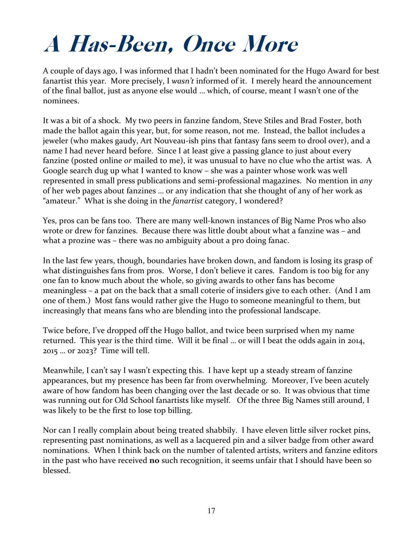# A Has-Been, Once More

A couple of days ago, I was informed that I hadn't been nominated for the Hugo Award for best fanartist this year. More precisely, I wasn't informed of it. I merely heard the announcement of the final ballot, just as anyone else would … which, of course, meant I wasn't one of the nominees.

It was a bit of a shock. My two peers in fanzine fandom, Steve Stiles and Brad Foster, both made the ballot again this year, but, for some reason, not me. Instead, the ballot includes a jeweler (who makes gaudy, Art Nouveau-ish pins that fantasy fans seem to drool over), and a name I had never heard before. Since I at least give a passing glance to just about every fanzine (posted online or mailed to me), it was unusual to have no clue who the artist was. A Google search dug up what I wanted to know – she was a painter whose work was well represented in small press publications and semi-professional magazines. No mention in any of her web pages about fanzines … or any indication that she thought of any of her work as "amateur." What is she doing in the fanartist category, I wondered?

Yes, pros can be fans too. There are many well-known instances of Big Name Pros who also wrote or drew for fanzines. Because there was little doubt about what a fanzine was – and what a prozine was – there was no ambiguity about a pro doing fanac.

In the last few years, though, boundaries have broken down, and fandom is losing its grasp of what distinguishes fans from pros. Worse, I don't believe it cares. Fandom is too big for any one fan to know much about the whole, so giving awards to other fans has become meaningless – a pat on the back that a small coterie of insiders give to each other. (And I am one of them.) Most fans would rather give the Hugo to someone meaningful to them, but increasingly that means fans who are blending into the professional landscape.

Twice before, I've dropped off the Hugo ballot, and twice been surprised when my name returned. This year is the third time. Will it be final … or will I beat the odds again in 2014, 2015 … or 2023? Time will tell.

Meanwhile, I can't say I wasn't expecting this. I have kept up a steady stream of fanzine appearances, but my presence has been far from overwhelming. Moreover, I've been acutely aware of how fandom has been changing over the last decade or so. It was obvious that time was running out for Old School fanartists like myself. Of the three Big Names still around, I was likely to be the first to lose top billing.

Nor can I really complain about being treated shabbily. I have eleven little silver rocket pins, representing past nominations, as well as a lacquered pin and a silver badge from other award nominations. When I think back on the number of talented artists, writers and fanzine editors in the past who have received **no** such recognition, it seems unfair that I should have been so blessed.